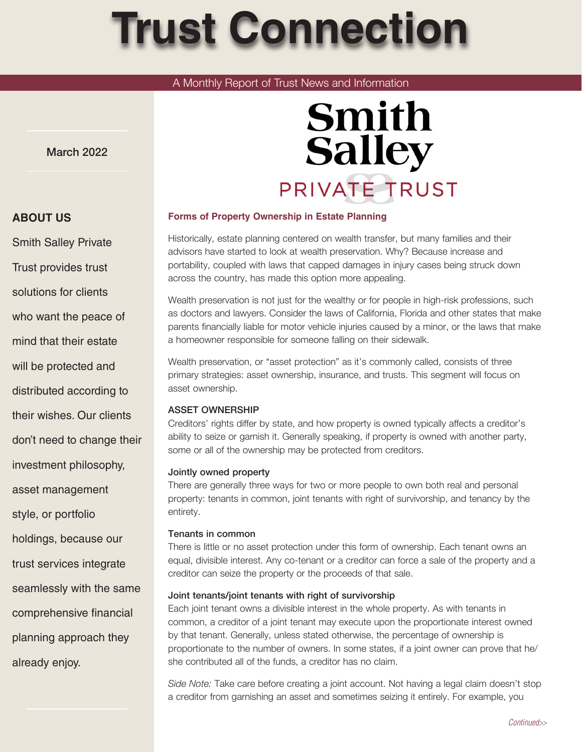# **Trust Connection**

### A Monthly Report of Trust News and Information

March 2022

# **Smith Salley** PRIVATE TRUST

#### **Forms of Property Ownership in Estate Planning**

Historically, estate planning centered on wealth transfer, but many families and their advisors have started to look at wealth preservation. Why? Because increase and portability, coupled with laws that capped damages in injury cases being struck down across the country, has made this option more appealing.

Wealth preservation is not just for the wealthy or for people in high-risk professions, such as doctors and lawyers. Consider the laws of California, Florida and other states that make parents financially liable for motor vehicle injuries caused by a minor, or the laws that make a homeowner responsible for someone falling on their sidewalk.

Wealth preservation, or "asset protection" as it's commonly called, consists of three primary strategies: asset ownership, insurance, and trusts. This segment will focus on asset ownership.

#### ASSET OWNERSHIP

Creditors' rights differ by state, and how property is owned typically affects a creditor's ability to seize or garnish it. Generally speaking, if property is owned with another party, some or all of the ownership may be protected from creditors.

#### Jointly owned property

There are generally three ways for two or more people to own both real and personal property: tenants in common, joint tenants with right of survivorship, and tenancy by the entirety.

#### Tenants in common

There is little or no asset protection under this form of ownership. Each tenant owns an equal, divisible interest. Any co-tenant or a creditor can force a sale of the property and a creditor can seize the property or the proceeds of that sale.

#### Joint tenants/joint tenants with right of survivorship

Each joint tenant owns a divisible interest in the whole property. As with tenants in common, a creditor of a joint tenant may execute upon the proportionate interest owned by that tenant. Generally, unless stated otherwise, the percentage of ownership is proportionate to the number of owners. In some states, if a joint owner can prove that he/ she contributed all of the funds, a creditor has no claim.

*Side Note:* Take care before creating a joint account. Not having a legal claim doesn't stop a creditor from garnishing an asset and sometimes seizing it entirely. For example, you

## **ABOUT US**

Smith Salley Private Trust provides trust solutions for clients

who want the peace of

mind that their estate

will be protected and

distributed according to

their wishes. Our clients

don't need to change their

investment philosophy,

asset management

style, or portfolio

holdings, because our

trust services integrate

seamlessly with the same

comprehensive financial

planning approach they already enjoy.